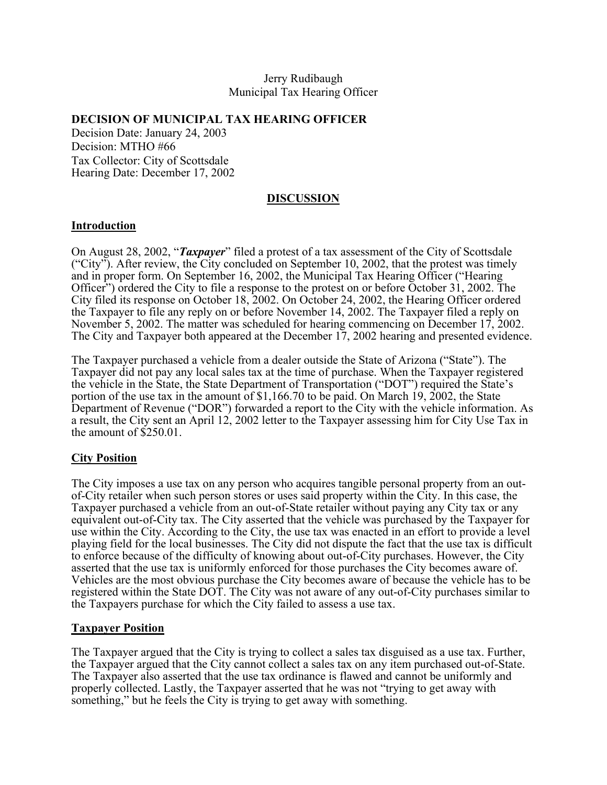## Jerry Rudibaugh Municipal Tax Hearing Officer

## **DECISION OF MUNICIPAL TAX HEARING OFFICER**

Decision Date: January 24, 2003 Decision: MTHO #66 Tax Collector: City of Scottsdale Hearing Date: December 17, 2002

### **DISCUSSION**

#### **Introduction**

On August 28, 2002, "*Taxpayer*" filed a protest of a tax assessment of the City of Scottsdale ("City"). After review, the City concluded on September 10, 2002, that the protest was timely and in proper form. On September 16, 2002, the Municipal Tax Hearing Officer ("Hearing Officer") ordered the City to file a response to the protest on or before October 31, 2002. The City filed its response on October 18, 2002. On October 24, 2002, the Hearing Officer ordered the Taxpayer to file any reply on or before November 14, 2002. The Taxpayer filed a reply on November 5, 2002. The matter was scheduled for hearing commencing on December 17, 2002. The City and Taxpayer both appeared at the December 17, 2002 hearing and presented evidence.

The Taxpayer purchased a vehicle from a dealer outside the State of Arizona ("State"). The Taxpayer did not pay any local sales tax at the time of purchase. When the Taxpayer registered the vehicle in the State, the State Department of Transportation ("DOT") required the State's portion of the use tax in the amount of \$1,166.70 to be paid. On March 19, 2002, the State Department of Revenue ("DOR") forwarded a report to the City with the vehicle information. As a result, the City sent an April 12, 2002 letter to the Taxpayer assessing him for City Use Tax in the amount of \$250.01.

## **City Position**

The City imposes a use tax on any person who acquires tangible personal property from an outof-City retailer when such person stores or uses said property within the City. In this case, the Taxpayer purchased a vehicle from an out-of-State retailer without paying any City tax or any equivalent out-of-City tax. The City asserted that the vehicle was purchased by the Taxpayer for use within the City. According to the City, the use tax was enacted in an effort to provide a level playing field for the local businesses. The City did not dispute the fact that the use tax is difficult to enforce because of the difficulty of knowing about out-of-City purchases. However, the City asserted that the use tax is uniformly enforced for those purchases the City becomes aware of. Vehicles are the most obvious purchase the City becomes aware of because the vehicle has to be registered within the State DOT. The City was not aware of any out-of-City purchases similar to the Taxpayers purchase for which the City failed to assess a use tax.

#### **Taxpayer Position**

The Taxpayer argued that the City is trying to collect a sales tax disguised as a use tax. Further, the Taxpayer argued that the City cannot collect a sales tax on any item purchased out-of-State. The Taxpayer also asserted that the use tax ordinance is flawed and cannot be uniformly and properly collected. Lastly, the Taxpayer asserted that he was not "trying to get away with something," but he feels the City is trying to get away with something.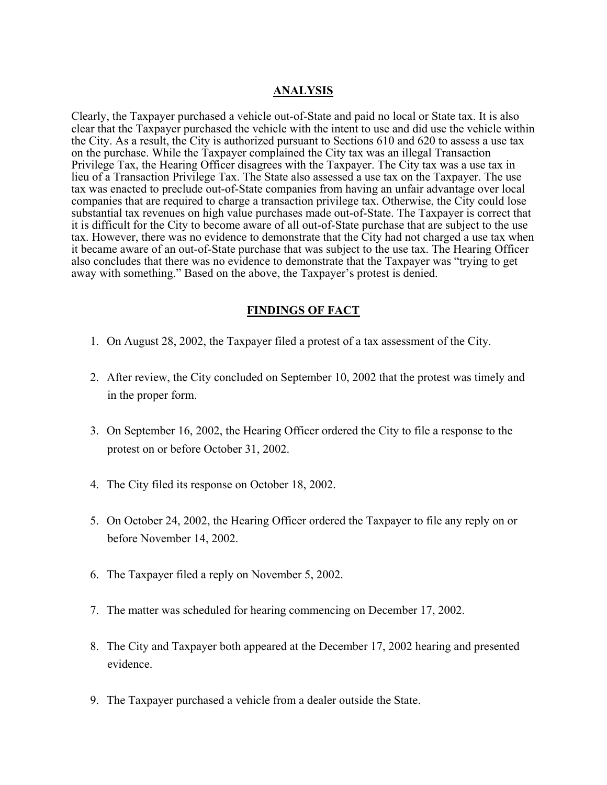## **ANALYSIS**

Clearly, the Taxpayer purchased a vehicle out-of-State and paid no local or State tax. It is also clear that the Taxpayer purchased the vehicle with the intent to use and did use the vehicle within the City. As a result, the City is authorized pursuant to Sections 610 and 620 to assess a use tax on the purchase. While the Taxpayer complained the City tax was an illegal Transaction Privilege Tax, the Hearing Officer disagrees with the Taxpayer. The City tax was a use tax in lieu of a Transaction Privilege Tax. The State also assessed a use tax on the Taxpayer. The use tax was enacted to preclude out-of-State companies from having an unfair advantage over local companies that are required to charge a transaction privilege tax. Otherwise, the City could lose substantial tax revenues on high value purchases made out-of-State. The Taxpayer is correct that it is difficult for the City to become aware of all out-of-State purchase that are subject to the use tax. However, there was no evidence to demonstrate that the City had not charged a use tax when it became aware of an out-of-State purchase that was subject to the use tax. The Hearing Officer also concludes that there was no evidence to demonstrate that the Taxpayer was "trying to get away with something." Based on the above, the Taxpayer's protest is denied.

## **FINDINGS OF FACT**

- 1. On August 28, 2002, the Taxpayer filed a protest of a tax assessment of the City.
- 2. After review, the City concluded on September 10, 2002 that the protest was timely and in the proper form.
- 3. On September 16, 2002, the Hearing Officer ordered the City to file a response to the protest on or before October 31, 2002.
- 4. The City filed its response on October 18, 2002.
- 5. On October 24, 2002, the Hearing Officer ordered the Taxpayer to file any reply on or before November 14, 2002.
- 6. The Taxpayer filed a reply on November 5, 2002.
- 7. The matter was scheduled for hearing commencing on December 17, 2002.
- 8. The City and Taxpayer both appeared at the December 17, 2002 hearing and presented evidence.
- 9. The Taxpayer purchased a vehicle from a dealer outside the State.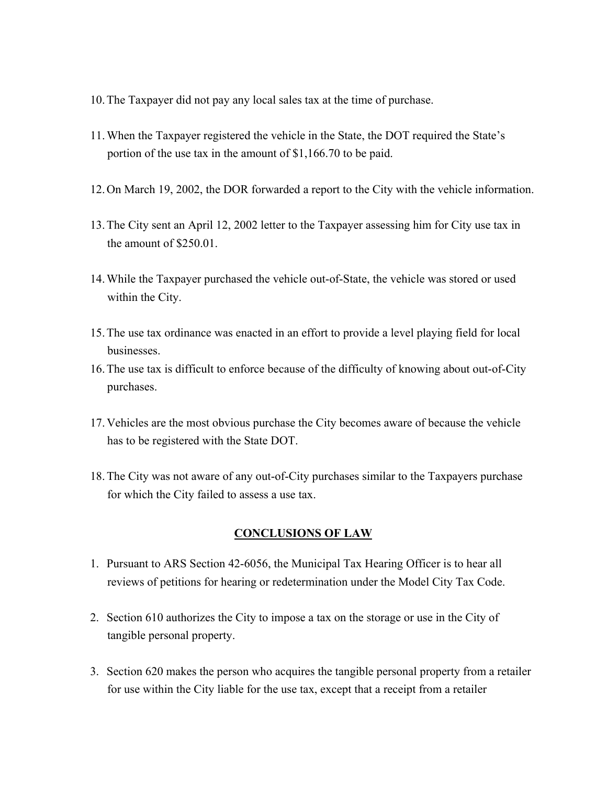- 10. The Taxpayer did not pay any local sales tax at the time of purchase.
- 11. When the Taxpayer registered the vehicle in the State, the DOT required the State's portion of the use tax in the amount of \$1,166.70 to be paid.
- 12. On March 19, 2002, the DOR forwarded a report to the City with the vehicle information.
- 13. The City sent an April 12, 2002 letter to the Taxpayer assessing him for City use tax in the amount of \$250.01.
- 14. While the Taxpayer purchased the vehicle out-of-State, the vehicle was stored or used within the City.
- 15. The use tax ordinance was enacted in an effort to provide a level playing field for local businesses.
- 16. The use tax is difficult to enforce because of the difficulty of knowing about out-of-City purchases.
- 17. Vehicles are the most obvious purchase the City becomes aware of because the vehicle has to be registered with the State DOT.
- 18. The City was not aware of any out-of-City purchases similar to the Taxpayers purchase for which the City failed to assess a use tax.

## **CONCLUSIONS OF LAW**

- 1. Pursuant to ARS Section 42-6056, the Municipal Tax Hearing Officer is to hear all reviews of petitions for hearing or redetermination under the Model City Tax Code.
- 2. Section 610 authorizes the City to impose a tax on the storage or use in the City of tangible personal property.
- 3. Section 620 makes the person who acquires the tangible personal property from a retailer for use within the City liable for the use tax, except that a receipt from a retailer